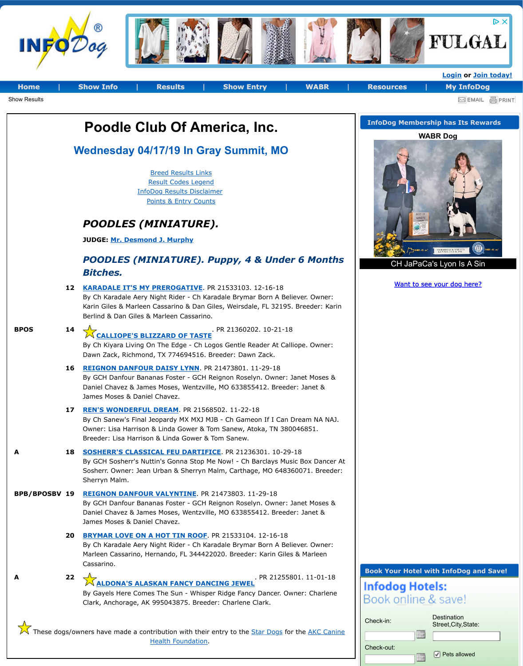## POODLES (MINIATURE). Puppy, 4 & Under 6 Mo *[Bitches](http://infodog.com/default.htm?_p=Y).*

|                      |    | <b>Bitches.</b>                                                                                                                                                                                                                                                 |
|----------------------|----|-----------------------------------------------------------------------------------------------------------------------------------------------------------------------------------------------------------------------------------------------------------------|
|                      | 12 | <b>KARADALE IT'S MY PREROGATIVE. PR 21533103. 12-16-18</b><br>By Ch Karadale Aery Night Rider - Ch Karadale Brymar Born A Believer. Ow<br>Karin Giles & Marleen Cassarino & Dan Giles, Weirsdale, FL 32195. Breeder<br>Berlind & Dan Giles & Marleen Cassarino. |
| <b>BPOS</b>          | 14 | . PR 21360202. 10-21-18<br>.<br>CALLIOPE'S BLIZZARD OF TASTE<br>By Ch Kiyara Living On The Edge - Ch Logos Gentle Reader At Calliope. Ow<br>Dawn Zack, Richmond, TX 774694516. Breeder: Dawn Zack.                                                              |
|                      | 16 | REIGNON DANFOUR DAISY LYNN. PR 21473801. 11-29-18<br>By GCH Danfour Bananas Foster - GCH Reignon Roselyn. Owner: Janet Mos<br>Daniel Chavez & James Moses, Wentzville, MO 633855412. Breeder: Janet<br>James Moses & Daniel Chavez.                             |
|                      | 17 | <b>REN'S WONDERFUL DREAM. PR 21568502. 11-22-18</b><br>By Ch Sanew's Final Jeopardy MX MXJ MJB - Ch Gameon If I Can Dream NA<br>Owner: Lisa Harrison & Linda Gower & Tom Sanew, Atoka, TN 380046851.<br>Breeder: Lisa Harrison & Linda Gower & Tom Sanew.       |
| A                    | 18 | <b>SOSHERR'S CLASSICAL FEU DARTIFICE. PR 21236301. 10-29-18</b><br>By GCH Sosherr's Nuttin's Gonna Stop Me Now! - Ch Barclays Music Box Da<br>Sosherr. Owner: Jean Urban & Sherryn Malm, Carthage, MO 648360071. B<br>Sherryn Malm.                             |
| <b>BPB/BPOSBV 19</b> |    | <b>REIGNON DANFOUR VALYNTINE. PR 21473803. 11-29-18</b><br>By GCH Danfour Bananas Foster - GCH Reignon Roselyn. Owner: Janet Mos<br>Daniel Chavez & James Moses, Wentzville, MO 633855412. Breeder: Janet<br>James Moses & Daniel Chavez.                       |
|                      | 20 | <b>BRYMAR LOVE ON A HOT TIN ROOF.</b> PR 21533104. 12-16-18<br>By Ch Karadale Aery Night Rider - Ch Karadale Brymar Born A Believer. Ow<br>Marleen Cassarino, Hernando, FL 344422020. Breeder: Karin Giles & Marle<br>Cassarino.                                |
| A                    | 22 | . PR 21255801. 11-0<br><b>ALDONA'S ALAS<u>KAN FANCY DANCING JEWEL</u></b><br>By Gayels Here Comes The Sun - Whisper Ridge Fancy Dancer. Owner: Cha<br>Clark, Anchorage, AK 995043875. Breeder: Charlene Clark.                                                  |
|                      |    |                                                                                                                                                                                                                                                                 |

These dogs/owners have made a contribution with their entry to the Star Dogs for the AKC Health Foundation.